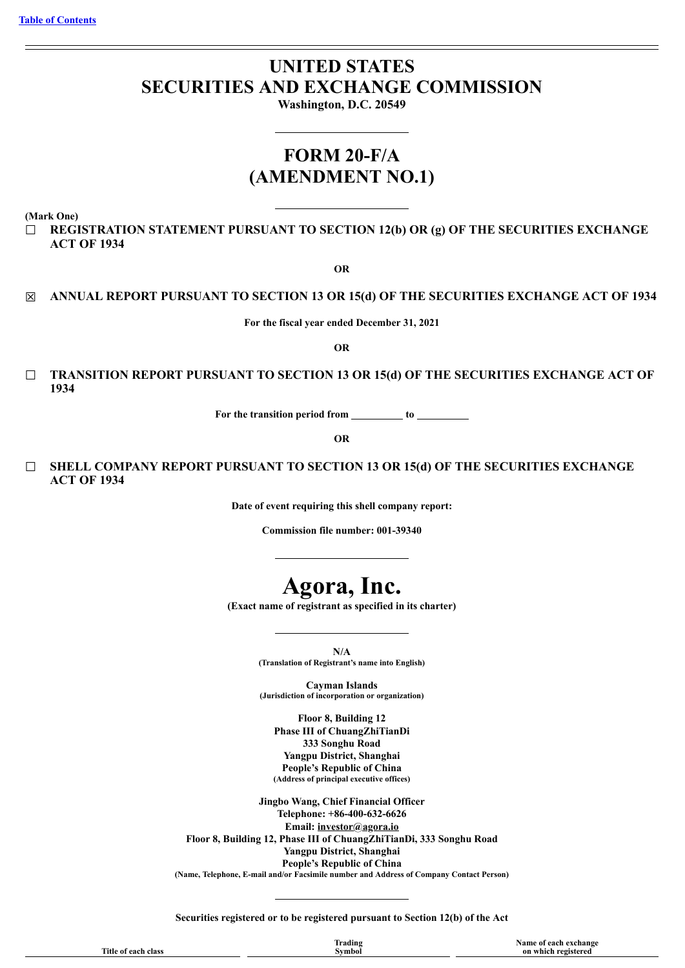## **UNITED STATES SECURITIES AND EXCHANGE COMMISSION**

**Washington, D.C. 20549**

## **FORM 20-F/A (AMENDMENT NO.1)**

**(Mark One)**

☐ **REGISTRATION STATEMENT PURSUANT TO SECTION 12(b) OR (g) OF THE SECURITIES EXCHANGE ACT OF 1934**

**OR**

## ☒ **ANNUAL REPORT PURSUANT TO SECTION 13 OR 15(d) OF THE SECURITIES EXCHANGE ACT OF 1934**

**For the fiscal year ended December 31, 2021**

**OR**

☐ **TRANSITION REPORT PURSUANT TO SECTION 13 OR 15(d) OF THE SECURITIES EXCHANGE ACT OF 1934**

**For the transition period from to**

**OR**

☐ **SHELL COMPANY REPORT PURSUANT TO SECTION 13 OR 15(d) OF THE SECURITIES EXCHANGE ACT OF 1934**

**Date of event requiring this shell company report:**

**Commission file number: 001-39340**

# **Agora, Inc.**

**(Exact name of registrant as specified in its charter)**

**N/A**

**(Translation of Registrant's name into English)**

**Cayman Islands (Jurisdiction of incorporation or organization)**

**Floor 8, Building 12 Phase III of ChuangZhiTianDi 333 Songhu Road Yangpu District, Shanghai People's Republic of China (Address of principal executive offices)**

**Jingbo Wang, Chief Financial Officer Telephone: +86-400-632-6626 Email: investor@agora.io Floor 8, Building 12, Phase III of ChuangZhiTianDi, 333 Songhu Road Yangpu District, Shanghai People's Republic of China (Name, Telephone, E-mail and/or Facsimile number and Address of Company Contact Person)**

**Securities registered or to be registered pursuant to Section 12(b) of the Act**

**Title of each class**

**Trading Symbol** **Name of each exchange on which registered**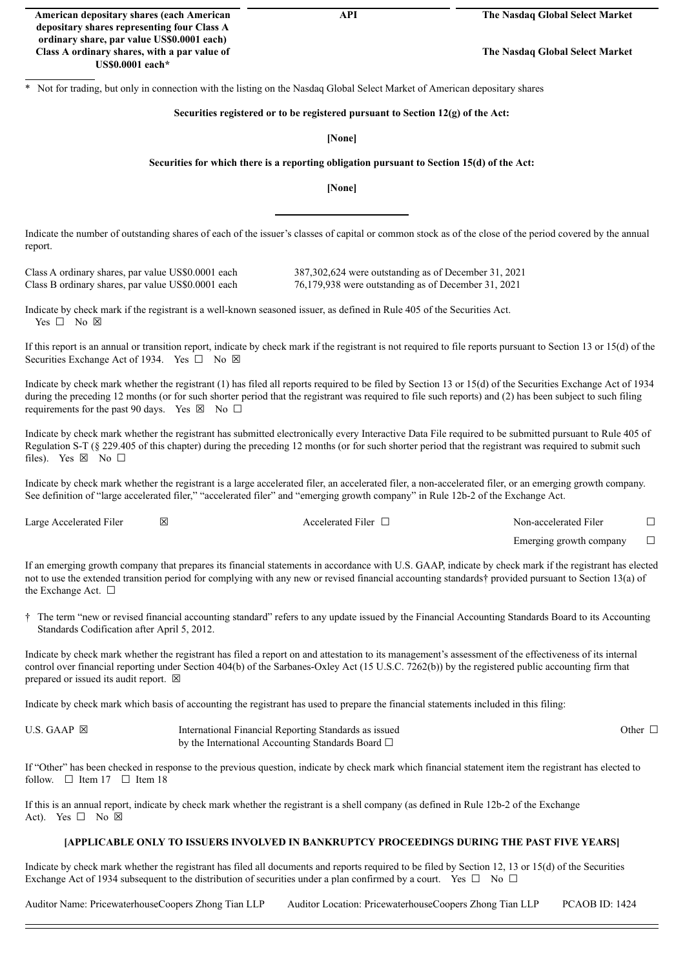**depositary shares representing four Class A ordinary share, par value US\$0.0001 each) Class A ordinary shares, with a par value of US\$0.0001 each\***

Not for trading, but only in connection with the listing on the Nasdaq Global Select Market of American depositary shares

#### **Securities registered or to be registered pursuant to Section 12(g) of the Act:**

## **[None]**

### **Securities for which there is a reporting obligation pursuant to Section 15(d) of the Act:**

**[None]**

Indicate the number of outstanding shares of each of the issuer's classes of capital or common stock as of the close of the period covered by the annual report.

Class A ordinary shares, par value US\$0.0001 each 387,302,624 were outstanding as of December 31, 2021

Class B ordinary shares, par value US\$0.0001 each 76,179,938 were outstanding as of December 31, 2021

Indicate by check mark if the registrant is a well-known seasoned issuer, as defined in Rule 405 of the Securities Act. Yes □ No ⊠

If this report is an annual or transition report, indicate by check mark if the registrant is not required to file reports pursuant to Section 13 or 15(d) of the Securities Exchange Act of 1934. Yes  $\Box$  No  $\boxtimes$ 

Indicate by check mark whether the registrant (1) has filed all reports required to be filed by Section 13 or 15(d) of the Securities Exchange Act of 1934 during the preceding 12 months (or for such shorter period that the registrant was required to file such reports) and (2) has been subject to such filing requirements for the past 90 days. Yes  $\boxtimes$  No  $\Box$ 

Indicate by check mark whether the registrant has submitted electronically every Interactive Data File required to be submitted pursuant to Rule 405 of Regulation S-T (§ 229.405 of this chapter) during the preceding 12 months (or for such shorter period that the registrant was required to submit such files). Yes  $\boxtimes$  No  $\square$ 

Indicate by check mark whether the registrant is a large accelerated filer, an accelerated filer, a non-accelerated filer, or an emerging growth company. See definition of "large accelerated filer," "accelerated filer" and "emerging growth company" in Rule 12b-2 of the Exchange Act.

Large Accelerated Filer ⊠ Accelerated Filer □ Non-accelerated Filer □

Emerging growth company  $\Box$ 

If an emerging growth company that prepares its financial statements in accordance with U.S. GAAP, indicate by check mark if the registrant has elected not to use the extended transition period for complying with any new or revised financial accounting standards† provided pursuant to Section 13(a) of the Exchange Act. □

† The term "new or revised financial accounting standard" refers to any update issued by the Financial Accounting Standards Board to its Accounting Standards Codification after April 5, 2012.

Indicate by check mark whether the registrant has filed a report on and attestation to its management's assessment of the effectiveness of its internal control over financial reporting under Section 404(b) of the Sarbanes-Oxley Act (15 U.S.C. 7262(b)) by the registered public accounting firm that prepared or issued its audit report.  $\boxtimes$ 

Indicate by check mark which basis of accounting the registrant has used to prepare the financial statements included in this filing:

| U.S. GAAP $\boxtimes$ | International Financial Reporting Standards as issued  | Other $\Box$ |
|-----------------------|--------------------------------------------------------|--------------|
|                       | by the International Accounting Standards Board $\Box$ |              |

If "Other" has been checked in response to the previous question, indicate by check mark which financial statement item the registrant has elected to follow.  $\Box$  Item 17  $\Box$  Item 18

If this is an annual report, indicate by check mark whether the registrant is a shell company (as defined in Rule 12b-2 of the Exchange Act). Yes  $\square$  No  $\square$ 

### **[APPLICABLE ONLY TO ISSUERS INVOLVED IN BANKRUPTCY PROCEEDINGS DURING THE PAST FIVE YEARS]**

Indicate by check mark whether the registrant has filed all documents and reports required to be filed by Section 12, 13 or 15(d) of the Securities Exchange Act of 1934 subsequent to the distribution of securities under a plan confirmed by a court. Yes  $\Box$  No  $\Box$ 

Auditor Name: PricewaterhouseCoopers Zhong Tian LLP Auditor Location: PricewaterhouseCoopers Zhong Tian LLP PCAOB ID: 1424

**American depositary shares (each American**

**API The Nasdaq Global Select Market**

**The Nasdaq Global Select Market**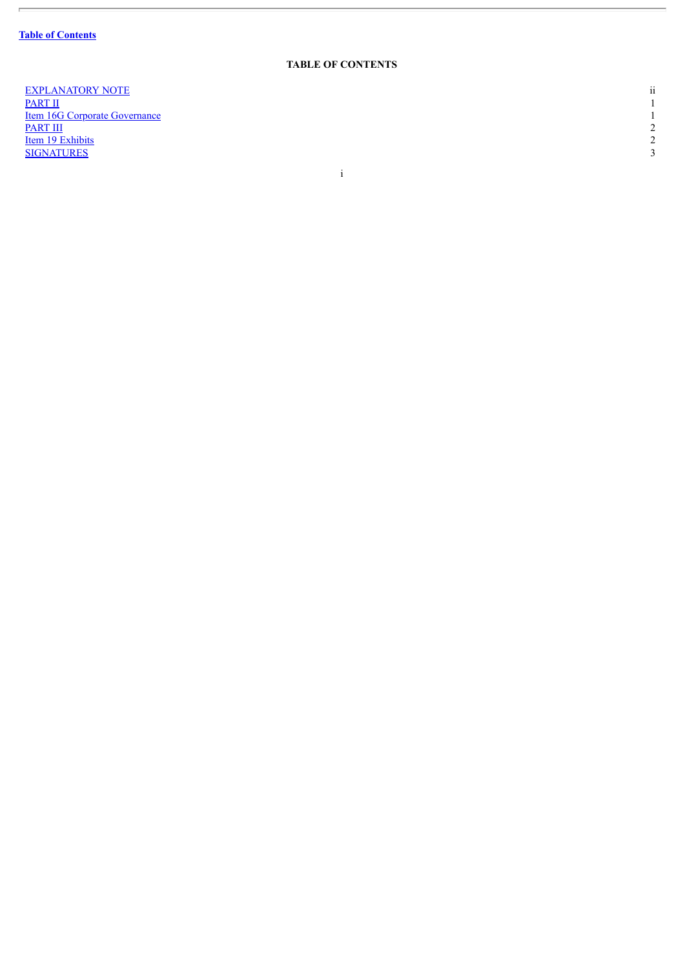$\equiv$ 

## **TABLE OF CONTENTS**

i

<span id="page-2-0"></span>**EXPL[AN](#page-3-0)ATORY NOTE** <u>PA[RT](#page-4-0) II</u> Item 16G Corporate Gove[rn](#page-4-1)ance PA[RT](#page-5-0) III Ite[m](#page-5-1) 19 Exhibits **SIGN[AT](#page-6-0)URES**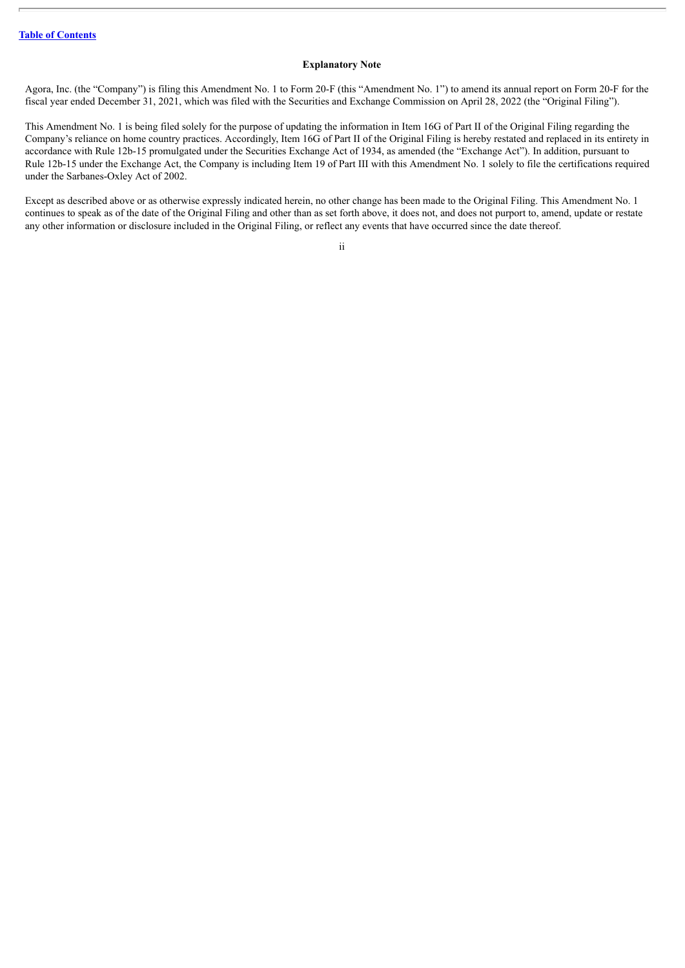#### **Explanatory Note**

<span id="page-3-0"></span>Agora, Inc. (the "Company") is filing this Amendment No. 1 to Form 20-F (this "Amendment No. 1") to amend its annual report on Form 20-F for the fiscal year ended December 31, 2021, which was filed with the Securities and Exchange Commission on April 28, 2022 (the "Original Filing").

This Amendment No. 1 is being filed solely for the purpose of updating the information in Item 16G of Part II of the Original Filing regarding the Company's reliance on home country practices. Accordingly, Item 16G of Part II of the Original Filing is hereby restated and replaced in its entirety in accordance with Rule 12b-15 promulgated under the Securities Exchange Act of 1934, as amended (the "Exchange Act"). In addition, pursuant to Rule 12b-15 under the Exchange Act, the Company is including Item 19 of Part III with this Amendment No. 1 solely to file the certifications required under the Sarbanes-Oxley Act of 2002.

Except as described above or as otherwise expressly indicated herein, no other change has been made to the Original Filing. This Amendment No. 1 continues to speak as of the date of the Original Filing and other than as set forth above, it does not, and does not purport to, amend, update or restate any other information or disclosure included in the Original Filing, or reflect any events that have occurred since the date thereof.

ii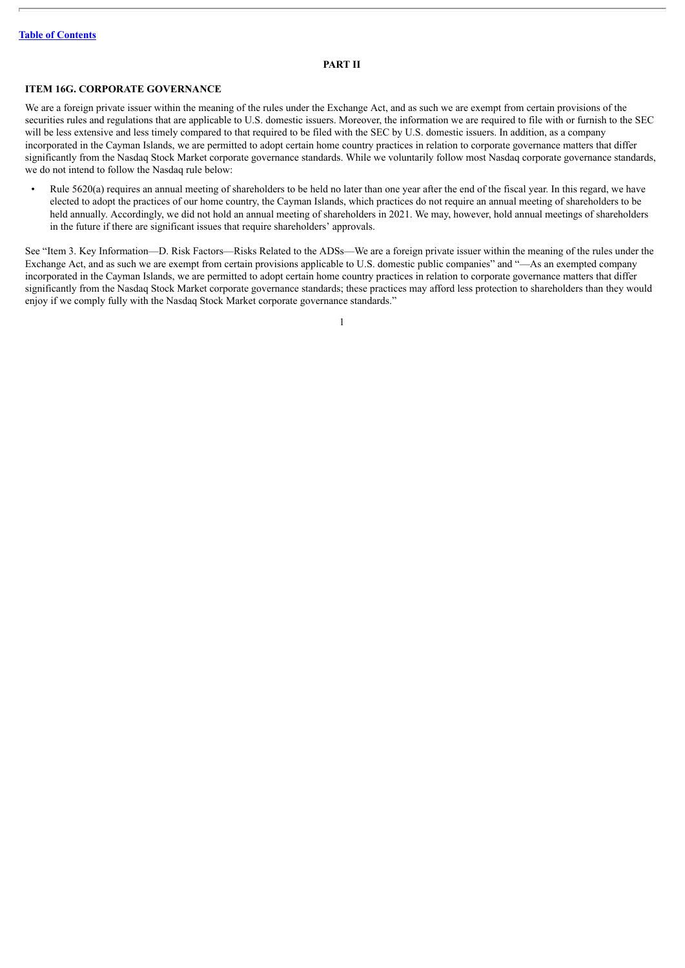### **PART II**

## <span id="page-4-1"></span><span id="page-4-0"></span>**ITEM 16G. CORPORATE GOVERNANCE**

We are a foreign private issuer within the meaning of the rules under the Exchange Act, and as such we are exempt from certain provisions of the securities rules and regulations that are applicable to U.S. domestic issuers. Moreover, the information we are required to file with or furnish to the SEC will be less extensive and less timely compared to that required to be filed with the SEC by U.S. domestic issuers. In addition, as a company incorporated in the Cayman Islands, we are permitted to adopt certain home country practices in relation to corporate governance matters that differ significantly from the Nasdaq Stock Market corporate governance standards. While we voluntarily follow most Nasdaq corporate governance standards, we do not intend to follow the Nasdaq rule below:

• Rule 5620(a) requires an annual meeting of shareholders to be held no later than one year after the end of the fiscal year. In this regard, we have elected to adopt the practices of our home country, the Cayman Islands, which practices do not require an annual meeting of shareholders to be held annually. Accordingly, we did not hold an annual meeting of shareholders in 2021. We may, however, hold annual meetings of shareholders in the future if there are significant issues that require shareholders' approvals.

See "Item 3. Key Information—D. Risk Factors—Risks Related to the ADSs—We are a foreign private issuer within the meaning of the rules under the Exchange Act, and as such we are exempt from certain provisions applicable to U.S. domestic public companies" and "—As an exempted company incorporated in the Cayman Islands, we are permitted to adopt certain home country practices in relation to corporate governance matters that differ significantly from the Nasdaq Stock Market corporate governance standards; these practices may afford less protection to shareholders than they would enjoy if we comply fully with the Nasdaq Stock Market corporate governance standards."

1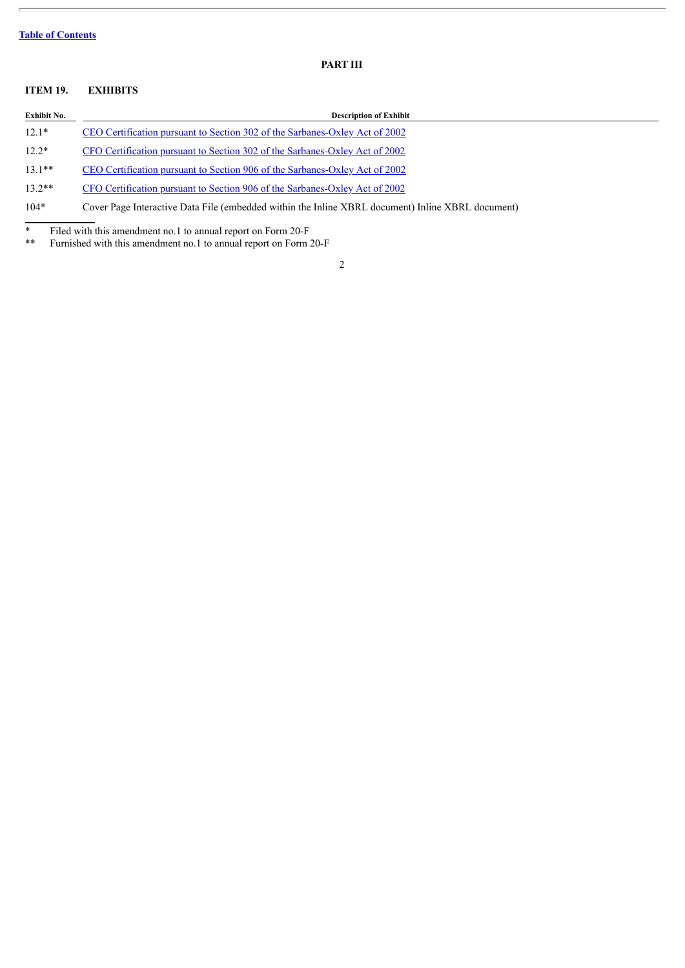r.

## **PART III**

## <span id="page-5-1"></span><span id="page-5-0"></span>**ITEM 19. EXHIBITS**

| <b>Exhibit No.</b> | <b>Description of Exhibit</b>                                                                     |
|--------------------|---------------------------------------------------------------------------------------------------|
| $12.1*$            | CEO Certification pursuant to Section 302 of the Sarbanes-Oxley Act of 2002                       |
| $12.2*$            | CFO Certification pursuant to Section 302 of the Sarbanes-Oxley Act of 2002                       |
| $13.1**$           | CEO Certification pursuant to Section 906 of the Sarbanes-Oxley Act of 2002                       |
| $13.2**$           | CFO Certification pursuant to Section 906 of the Sarbanes-Oxley Act of 2002                       |
| $104*$             | Cover Page Interactive Data File (embedded within the Inline XBRL document) Inline XBRL document) |

\* Filed with this amendment no.1 to annual report on Form 20-F

\*\* Furnished with this amendment no.1 to annual report on Form 20-F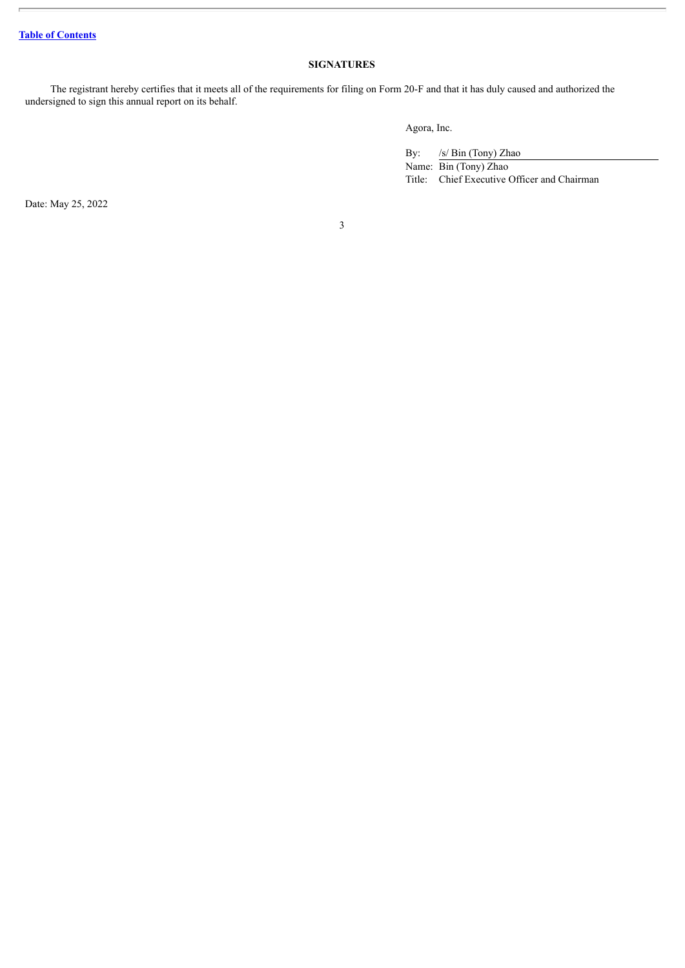## **SIGNATURES**

<span id="page-6-0"></span>The registrant hereby certifies that it meets all of the requirements for filing on Form 20-F and that it has duly caused and authorized the undersigned to sign this annual report on its behalf.

Agora, Inc.

By: /s/ Bin (Tony) Zhao Name: Bin (Tony) Zhao Title: Chief Executive Officer and Chairman

Date: May 25, 2022

3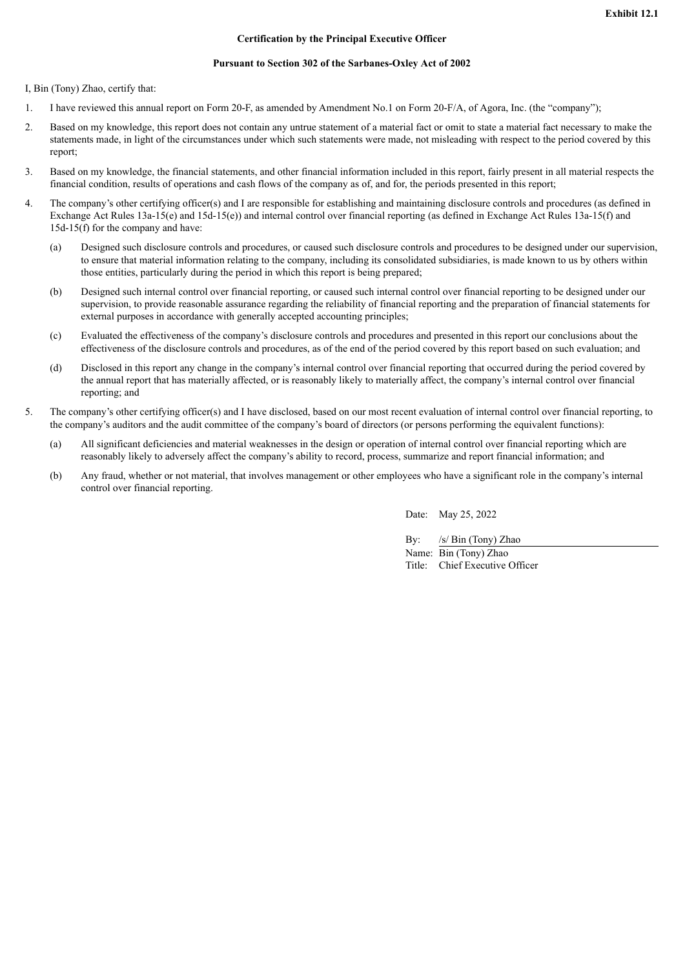## **Certification by the Principal Executive Officer**

#### **Pursuant to Section 302 of the Sarbanes-Oxley Act of 2002**

<span id="page-7-0"></span>I, Bin (Tony) Zhao, certify that:

- 1. I have reviewed this annual report on Form 20-F, as amended by Amendment No.1 on Form 20-F/A, of Agora, Inc. (the "company");
- 2. Based on my knowledge, this report does not contain any untrue statement of a material fact or omit to state a material fact necessary to make the statements made, in light of the circumstances under which such statements were made, not misleading with respect to the period covered by this report;
- 3. Based on my knowledge, the financial statements, and other financial information included in this report, fairly present in all material respects the financial condition, results of operations and cash flows of the company as of, and for, the periods presented in this report;
- 4. The company's other certifying officer(s) and I are responsible for establishing and maintaining disclosure controls and procedures (as defined in Exchange Act Rules 13a-15(e) and 15d-15(e)) and internal control over financial reporting (as defined in Exchange Act Rules 13a-15(f) and 15d-15(f) for the company and have:
	- (a) Designed such disclosure controls and procedures, or caused such disclosure controls and procedures to be designed under our supervision, to ensure that material information relating to the company, including its consolidated subsidiaries, is made known to us by others within those entities, particularly during the period in which this report is being prepared;
	- (b) Designed such internal control over financial reporting, or caused such internal control over financial reporting to be designed under our supervision, to provide reasonable assurance regarding the reliability of financial reporting and the preparation of financial statements for external purposes in accordance with generally accepted accounting principles;
	- (c) Evaluated the effectiveness of the company's disclosure controls and procedures and presented in this report our conclusions about the effectiveness of the disclosure controls and procedures, as of the end of the period covered by this report based on such evaluation; and
	- (d) Disclosed in this report any change in the company's internal control over financial reporting that occurred during the period covered by the annual report that has materially affected, or is reasonably likely to materially affect, the company's internal control over financial reporting; and
- 5. The company's other certifying officer(s) and I have disclosed, based on our most recent evaluation of internal control over financial reporting, to the company's auditors and the audit committee of the company's board of directors (or persons performing the equivalent functions):
	- (a) All significant deficiencies and material weaknesses in the design or operation of internal control over financial reporting which are reasonably likely to adversely affect the company's ability to record, process, summarize and report financial information; and
	- (b) Any fraud, whether or not material, that involves management or other employees who have a significant role in the company's internal control over financial reporting.

Date: May 25, 2022

By: /s/ Bin (Tony) Zhao Name: Bin (Tony) Zhao Title: Chief Executive Officer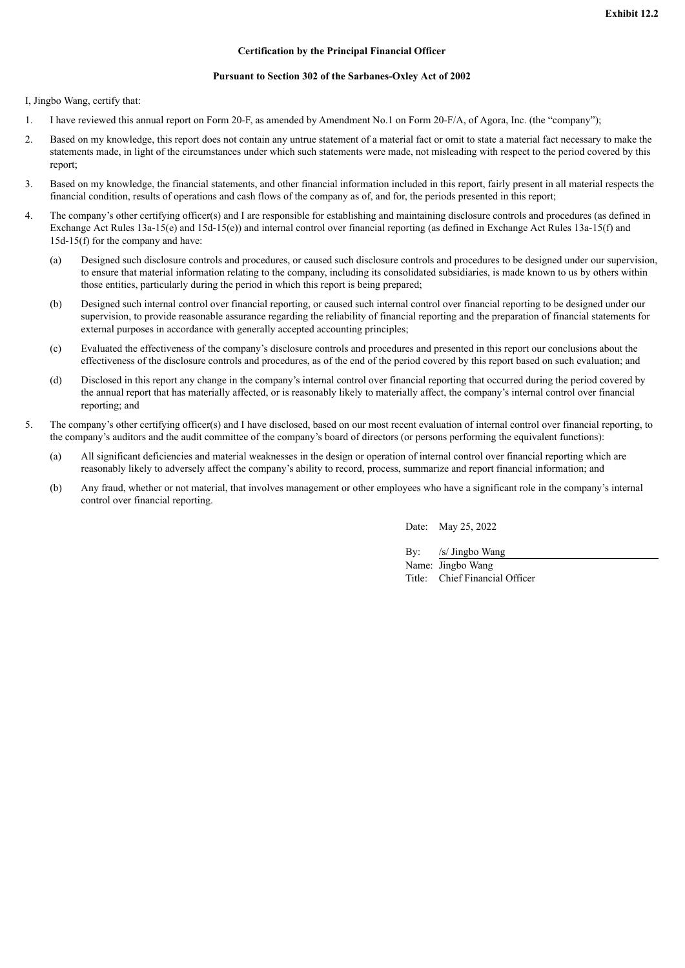### **Certification by the Principal Financial Officer**

### **Pursuant to Section 302 of the Sarbanes-Oxley Act of 2002**

<span id="page-8-0"></span>I, Jingbo Wang, certify that:

- 1. I have reviewed this annual report on Form 20-F, as amended by Amendment No.1 on Form 20-F/A, of Agora, Inc. (the "company");
- 2. Based on my knowledge, this report does not contain any untrue statement of a material fact or omit to state a material fact necessary to make the statements made, in light of the circumstances under which such statements were made, not misleading with respect to the period covered by this report;
- 3. Based on my knowledge, the financial statements, and other financial information included in this report, fairly present in all material respects the financial condition, results of operations and cash flows of the company as of, and for, the periods presented in this report;
- 4. The company's other certifying officer(s) and I are responsible for establishing and maintaining disclosure controls and procedures (as defined in Exchange Act Rules 13a-15(e) and 15d-15(e)) and internal control over financial reporting (as defined in Exchange Act Rules 13a-15(f) and 15d-15(f) for the company and have:
	- (a) Designed such disclosure controls and procedures, or caused such disclosure controls and procedures to be designed under our supervision, to ensure that material information relating to the company, including its consolidated subsidiaries, is made known to us by others within those entities, particularly during the period in which this report is being prepared;
	- (b) Designed such internal control over financial reporting, or caused such internal control over financial reporting to be designed under our supervision, to provide reasonable assurance regarding the reliability of financial reporting and the preparation of financial statements for external purposes in accordance with generally accepted accounting principles;
	- (c) Evaluated the effectiveness of the company's disclosure controls and procedures and presented in this report our conclusions about the effectiveness of the disclosure controls and procedures, as of the end of the period covered by this report based on such evaluation; and
	- (d) Disclosed in this report any change in the company's internal control over financial reporting that occurred during the period covered by the annual report that has materially affected, or is reasonably likely to materially affect, the company's internal control over financial reporting; and
- 5. The company's other certifying officer(s) and I have disclosed, based on our most recent evaluation of internal control over financial reporting, to the company's auditors and the audit committee of the company's board of directors (or persons performing the equivalent functions):
	- (a) All significant deficiencies and material weaknesses in the design or operation of internal control over financial reporting which are reasonably likely to adversely affect the company's ability to record, process, summarize and report financial information; and
	- (b) Any fraud, whether or not material, that involves management or other employees who have a significant role in the company's internal control over financial reporting.

Date: May 25, 2022

By: /s/ Jingbo Wang

Name: Jingbo Wang Title: Chief Financial Officer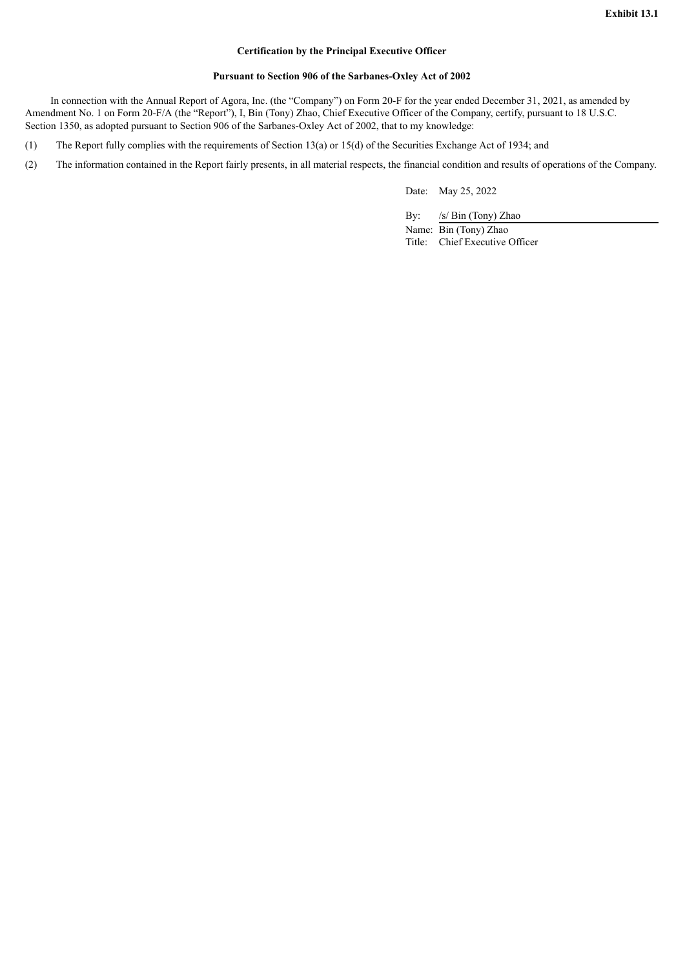#### **Certification by the Principal Executive Officer**

## **Pursuant to Section 906 of the Sarbanes-Oxley Act of 2002**

<span id="page-9-0"></span>In connection with the Annual Report of Agora, Inc. (the "Company") on Form 20-F for the year ended December 31, 2021, as amended by Amendment No. 1 on Form 20-F/A (the "Report"), I, Bin (Tony) Zhao, Chief Executive Officer of the Company, certify, pursuant to 18 U.S.C. Section 1350, as adopted pursuant to Section 906 of the Sarbanes-Oxley Act of 2002, that to my knowledge:

(1) The Report fully complies with the requirements of Section 13(a) or 15(d) of the Securities Exchange Act of 1934; and

(2) The information contained in the Report fairly presents, in all material respects, the financial condition and results of operations of the Company.

Date: May 25, 2022

By: /s/ Bin (Tony) Zhao Name: Bin (Tony) Zhao Title: Chief Executive Officer